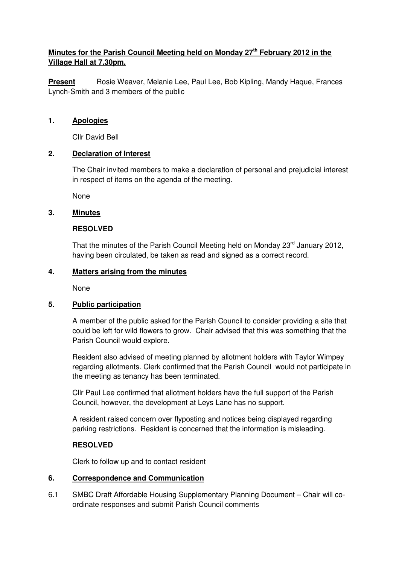# **Minutes for the Parish Council Meeting held on Monday 27th February 2012 in the Village Hall at 7.30pm.**

**Present** Rosie Weaver, Melanie Lee, Paul Lee, Bob Kipling, Mandy Haque, Frances Lynch-Smith and 3 members of the public

#### **1. Apologies**

Cllr David Bell

### **2. Declaration of Interest**

The Chair invited members to make a declaration of personal and prejudicial interest in respect of items on the agenda of the meeting.

None

### **3. Minutes**

### **RESOLVED**

That the minutes of the Parish Council Meeting held on Monday 23<sup>rd</sup> January 2012, having been circulated, be taken as read and signed as a correct record.

### **4. Matters arising from the minutes**

None

# **5. Public participation**

 A member of the public asked for the Parish Council to consider providing a site that could be left for wild flowers to grow. Chair advised that this was something that the Parish Council would explore.

 Resident also advised of meeting planned by allotment holders with Taylor Wimpey regarding allotments. Clerk confirmed that the Parish Council would not participate in the meeting as tenancy has been terminated.

 Cllr Paul Lee confirmed that allotment holders have the full support of the Parish Council, however, the development at Leys Lane has no support.

 A resident raised concern over flyposting and notices being displayed regarding parking restrictions. Resident is concerned that the information is misleading.

# **RESOLVED**

Clerk to follow up and to contact resident

#### **6. Correspondence and Communication**

6.1 SMBC Draft Affordable Housing Supplementary Planning Document – Chair will coordinate responses and submit Parish Council comments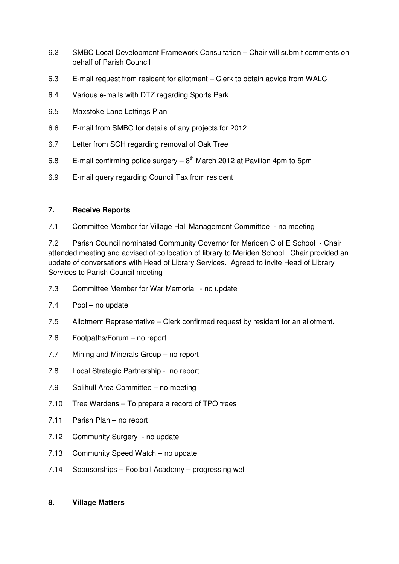- 6.2 SMBC Local Development Framework Consultation Chair will submit comments on behalf of Parish Council
- 6.3 E-mail request from resident for allotment Clerk to obtain advice from WALC
- 6.4 Various e-mails with DTZ regarding Sports Park
- 6.5 Maxstoke Lane Lettings Plan
- 6.6 E-mail from SMBC for details of any projects for 2012
- 6.7 Letter from SCH regarding removal of Oak Tree
- 6.8 E-mail confirming police surgery  $-8<sup>th</sup>$  March 2012 at Pavilion 4pm to 5pm
- 6.9 E-mail query regarding Council Tax from resident

# **7. Receive Reports**

7.1 Committee Member for Village Hall Management Committee - no meeting

7.2 Parish Council nominated Community Governor for Meriden C of E School - Chair attended meeting and advised of collocation of library to Meriden School. Chair provided an update of conversations with Head of Library Services. Agreed to invite Head of Library Services to Parish Council meeting

- 7.3 Committee Member for War Memorial no update
- 7.4 Pool no update
- 7.5 Allotment Representative Clerk confirmed request by resident for an allotment.
- 7.6 Footpaths/Forum no report
- 7.7 Mining and Minerals Group no report
- 7.8 Local Strategic Partnership no report
- 7.9 Solihull Area Committee no meeting
- 7.10 Tree Wardens To prepare a record of TPO trees
- 7.11 Parish Plan no report
- 7.12 Community Surgery no update
- 7.13 Community Speed Watch no update
- 7.14 Sponsorships Football Academy progressing well

### **8. Village Matters**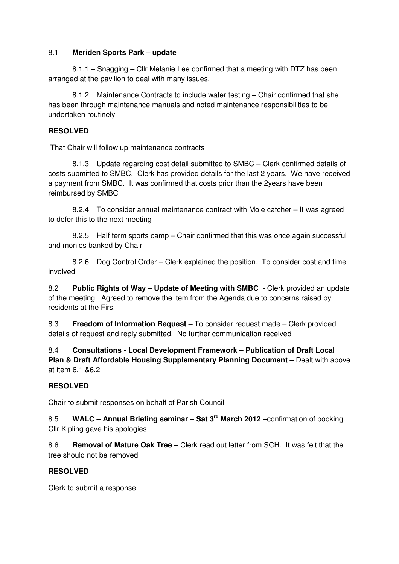### 8.1 **Meriden Sports Park – update**

8.1.1 – Snagging – Cllr Melanie Lee confirmed that a meeting with DTZ has been arranged at the pavilion to deal with many issues.

 8.1.2 Maintenance Contracts to include water testing – Chair confirmed that she has been through maintenance manuals and noted maintenance responsibilities to be undertaken routinely

# **RESOLVED**

That Chair will follow up maintenance contracts

 8.1.3 Update regarding cost detail submitted to SMBC – Clerk confirmed details of costs submitted to SMBC. Clerk has provided details for the last 2 years. We have received a payment from SMBC. It was confirmed that costs prior than the 2years have been reimbursed by SMBC

 8.2.4 To consider annual maintenance contract with Mole catcher – It was agreed to defer this to the next meeting

 8.2.5 Half term sports camp – Chair confirmed that this was once again successful and monies banked by Chair

 8.2.6 Dog Control Order – Clerk explained the position. To consider cost and time involved

8.2 **Public Rights of Way – Update of Meeting with SMBC -** Clerk provided an update of the meeting. Agreed to remove the item from the Agenda due to concerns raised by residents at the Firs.

8.3 **Freedom of Information Request –** To consider request made – Clerk provided details of request and reply submitted. No further communication received

8.4 **Consultations** - **Local Development Framework – Publication of Draft Local Plan & Draft Affordable Housing Supplementary Planning Document – Dealt with above** at item 6.1 &6.2

# **RESOLVED**

Chair to submit responses on behalf of Parish Council

8.5 **WALC – Annual Briefing seminar – Sat 3rd March 2012 –**confirmation of booking. Cllr Kipling gave his apologies

8.6 **Removal of Mature Oak Tree** – Clerk read out letter from SCH. It was felt that the tree should not be removed

# **RESOLVED**

Clerk to submit a response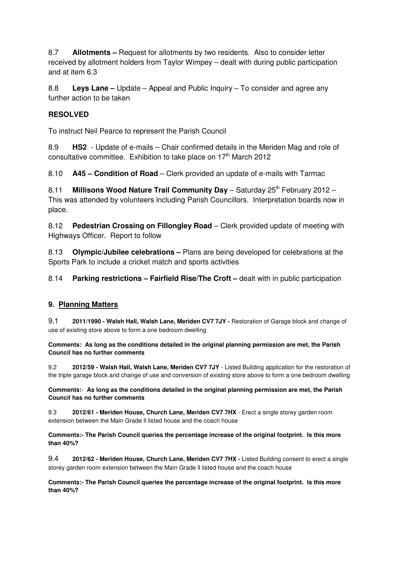8.7 **Allotments –** Request for allotments by two residents. Also to consider letter received by allotment holders from Taylor Wimpey – dealt with during public participation and at item 6.3

8.8 **Leys Lane –** Update – Appeal and Public Inquiry – To consider and agree any further action to be taken

# **RESOLVED**

To instruct Neil Pearce to represent the Parish Council

8.9 **HS2** - Update of e-mails – Chair confirmed details in the Meriden Mag and role of consultative committee. Exhibition to take place on 17<sup>th</sup> March 2012

8.10 **A45 – Condition of Road** – Clerk provided an update of e-mails with Tarmac

8.11 **Millisons Wood Nature Trail Community Day** – Saturday 25<sup>th</sup> February 2012 – This was attended by volunteers including Parish Councillors. Interpretation boards now in place.

8.12 **Pedestrian Crossing on Fillongley Road** – Clerk provided update of meeting with Highways Officer. Report to follow

8.13 **Olympic/Jubilee celebrations –** Plans are being developed for celebrations at the Sports Park to include a cricket match and sports activities

8.14 **Parking restrictions – Fairfield Rise/The Croft –** dealt with in public participation

# **9. Planning Matters**

9.1 **2011/1990 - Walsh Hall, Walsh Lane, Meriden CV7 7JY -** Restoration of Garage block and change of use of existing store above to form a one bedroom dwelling

**Comments: As long as the conditions detailed in the original planning permission are met, the Parish Council has no further comments**

9.2 **2012/59 - Walsh Hall, Walsh Lane, Meriden CV7 7JY** - Listed Building application for the restoration of the triple garage block and change of use and conversion of existing store above to form a one bedroom dwelling

**Comments:**- **As long as the conditions detailed in the original planning permission are met, the Parish Council has no further comments**

9.3 **2012/61 - Meriden House, Church Lane, Meriden CV7 7HX** - Erect a single storey garden room extension between the Main Grade ll listed house and the coach house

**Comments:- The Parish Council queries the percentage increase of the original footprint. Is this more than 40%?** 

9.4 **2012/62 - Meriden House, Church Lane, Meriden CV7 7HX -** Listed Building consent to erect a single storey garden room extension between the Main Grade ll listed house and the coach house

**Comments:- The Parish Council queries the percentage increase of the original footprint. Is this more than 40%?**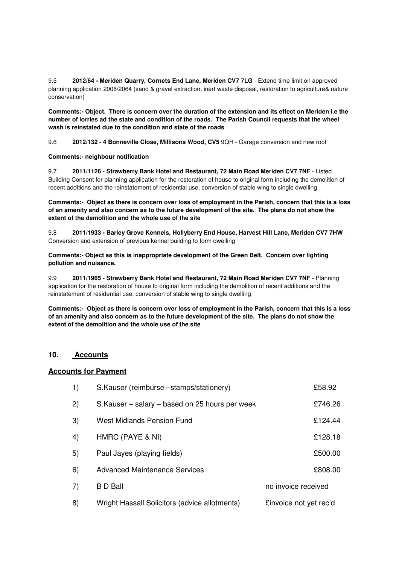9.5 **2012/64 - Meriden Quarry, Cornets End Lane, Meriden CV7 7LG** - Extend time limit on approved planning application 2006/2064 (sand & gravel extraction, inert waste disposal, restoration to agriculture& nature conservation)

**Comments:- Object. There is concern over the duration of the extension and its effect on Meriden i.e the number of lorries ad the state and condition of the roads. The Parish Council requests that the wheel wash is reinstated due to the condition and state of the roads** 

9.6 **2012/132 - 4 Bonneville Close, Millisons Wood, CV5** 9QH - Garage conversion and new roof

**Comments:- neighbour notification**

9.7 **2011/1126 - Strawberry Bank Hotel and Restaurant, 72 Main Road Meriden CV7 7NF** - Listed Building Consent for planning application for the restoration of house to original form including the demolition of recent additions and the reinstatement of residential use, conversion of stable wing to single dwelling

**Comments:- Object as there is concern over loss of employment in the Parish, concern that this is a loss of an amenity and also concern as to the future development of the site. The plans do not show the extent of the demolition and the whole use of the site** 

9.8 **2011/1933 - Barley Grove Kennels, Hollyberry End House, Harvest Hill Lane, Meriden CV7 7HW** - Conversion and extension of previous kennel building to form dwelling

**Comments:- Object as this is inappropriate development of the Green Belt. Concern over lighting pollution and nuisance.**

9.9 **2011/1965 - Strawberry Bank Hotel and Restaurant, 72 Main Road Meriden CV7 7NF** - Planning application for the restoration of house to original form including the demolition of recent additions and the reinstatement of residential use, conversion of stable wing to single dwelling

**Comments:- Object as there is concern over loss of employment in the Parish, concern that this is a loss of an amenity and also concern as to the future development of the site. The plans do not show the extent of the demolition and the whole use of the site** 

#### **10. Accounts**

#### **Accounts for Payment**

| 1) | S.Kauser (reimburse -stamps/stationery)         |                        | £58.92  |
|----|-------------------------------------------------|------------------------|---------|
| 2) | S. Kauser – salary – based on 25 hours per week |                        | £746.26 |
| 3) | <b>West Midlands Pension Fund</b>               |                        | £124.44 |
| 4) | HMRC (PAYE & NI)                                |                        | £128.18 |
| 5) | Paul Jayes (playing fields)                     |                        | £500.00 |
| 6) | <b>Advanced Maintenance Services</b>            |                        | £808.00 |
| 7) | <b>B</b> D Ball                                 | no invoice received    |         |
| 8) | Wright Hassall Solicitors (advice allotments)   | £invoice not yet rec'd |         |